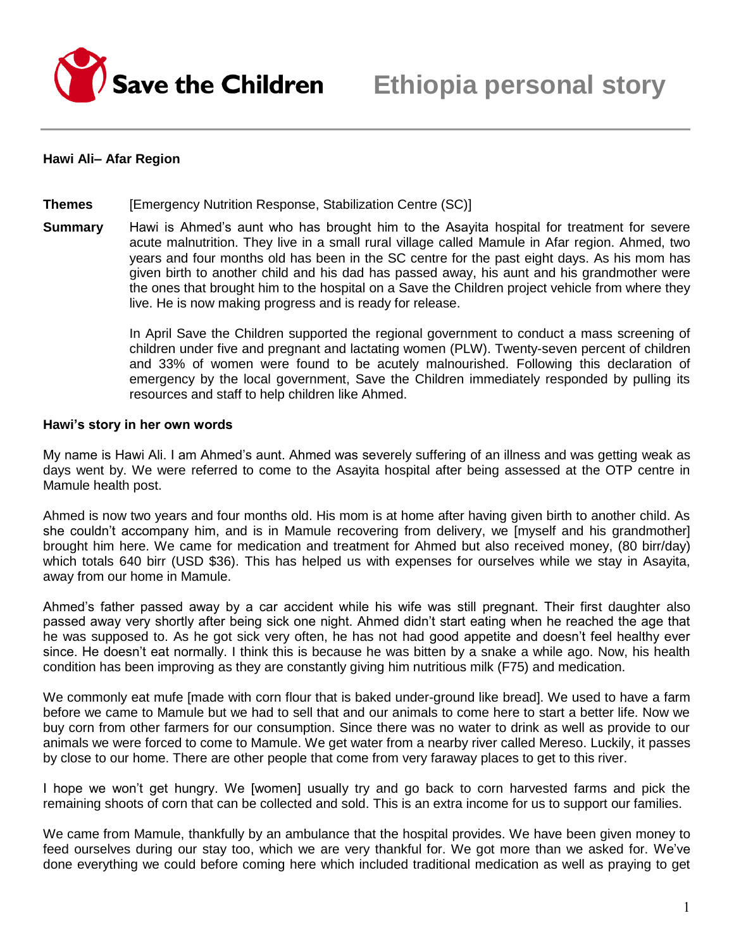

### **Hawi Ali– Afar Region**

**Themes** [Emergency Nutrition Response, Stabilization Centre (SC)]

**Summary** Hawi is Ahmed's aunt who has brought him to the Asayita hospital for treatment for severe acute malnutrition. They live in a small rural village called Mamule in Afar region. Ahmed, two years and four months old has been in the SC centre for the past eight days. As his mom has given birth to another child and his dad has passed away, his aunt and his grandmother were the ones that brought him to the hospital on a Save the Children project vehicle from where they live. He is now making progress and is ready for release.

> In April Save the Children supported the regional government to conduct a mass screening of children under five and pregnant and lactating women (PLW). Twenty-seven percent of children and 33% of women were found to be acutely malnourished. Following this declaration of emergency by the local government, Save the Children immediately responded by pulling its resources and staff to help children like Ahmed.

#### **Hawi's story in her own words**

My name is Hawi Ali. I am Ahmed's aunt. Ahmed was severely suffering of an illness and was getting weak as days went by. We were referred to come to the Asayita hospital after being assessed at the OTP centre in Mamule health post.

Ahmed is now two years and four months old. His mom is at home after having given birth to another child. As she couldn't accompany him, and is in Mamule recovering from delivery, we [myself and his grandmother] brought him here. We came for medication and treatment for Ahmed but also received money, (80 birr/day) which totals 640 birr (USD \$36). This has helped us with expenses for ourselves while we stay in Asayita, away from our home in Mamule.

Ahmed's father passed away by a car accident while his wife was still pregnant. Their first daughter also passed away very shortly after being sick one night. Ahmed didn't start eating when he reached the age that he was supposed to. As he got sick very often, he has not had good appetite and doesn't feel healthy ever since. He doesn't eat normally. I think this is because he was bitten by a snake a while ago. Now, his health condition has been improving as they are constantly giving him nutritious milk (F75) and medication.

We commonly eat mufe [made with corn flour that is baked under-ground like bread]. We used to have a farm before we came to Mamule but we had to sell that and our animals to come here to start a better life. Now we buy corn from other farmers for our consumption. Since there was no water to drink as well as provide to our animals we were forced to come to Mamule. We get water from a nearby river called Mereso. Luckily, it passes by close to our home. There are other people that come from very faraway places to get to this river.

I hope we won't get hungry. We [women] usually try and go back to corn harvested farms and pick the remaining shoots of corn that can be collected and sold. This is an extra income for us to support our families.

We came from Mamule, thankfully by an ambulance that the hospital provides. We have been given money to feed ourselves during our stay too, which we are very thankful for. We got more than we asked for. We've done everything we could before coming here which included traditional medication as well as praying to get